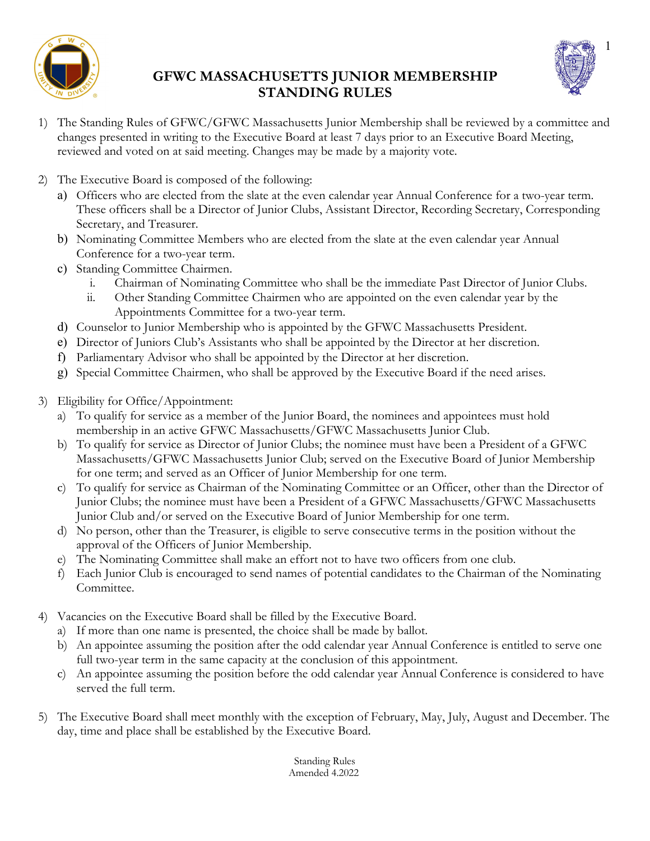

# **GFWC MASSACHUSETTS JUNIOR MEMBERSHIP STANDING RULES**



- 1) The Standing Rules of GFWC/GFWC Massachusetts Junior Membership shall be reviewed by a committee and changes presented in writing to the Executive Board at least 7 days prior to an Executive Board Meeting, reviewed and voted on at said meeting. Changes may be made by a majority vote.
- 2) The Executive Board is composed of the following:
	- a) Officers who are elected from the slate at the even calendar year Annual Conference for a two-year term. These officers shall be a Director of Junior Clubs, Assistant Director, Recording Secretary, Corresponding Secretary, and Treasurer.
	- b) Nominating Committee Members who are elected from the slate at the even calendar year Annual Conference for a two-year term.
	- c) Standing Committee Chairmen.
		- i. Chairman of Nominating Committee who shall be the immediate Past Director of Junior Clubs.
		- ii. Other Standing Committee Chairmen who are appointed on the even calendar year by the Appointments Committee for a two-year term.
	- d) Counselor to Junior Membership who is appointed by the GFWC Massachusetts President.
	- e) Director of Juniors Club's Assistants who shall be appointed by the Director at her discretion.
	- f) Parliamentary Advisor who shall be appointed by the Director at her discretion.
	- g) Special Committee Chairmen, who shall be approved by the Executive Board if the need arises.
- 3) Eligibility for Office/Appointment:
	- a) To qualify for service as a member of the Junior Board, the nominees and appointees must hold membership in an active GFWC Massachusetts/GFWC Massachusetts Junior Club.
	- b) To qualify for service as Director of Junior Clubs; the nominee must have been a President of a GFWC Massachusetts/GFWC Massachusetts Junior Club; served on the Executive Board of Junior Membership for one term; and served as an Officer of Junior Membership for one term.
	- c) To qualify for service as Chairman of the Nominating Committee or an Officer, other than the Director of Junior Clubs; the nominee must have been a President of a GFWC Massachusetts/GFWC Massachusetts Junior Club and/or served on the Executive Board of Junior Membership for one term.
	- d) No person, other than the Treasurer, is eligible to serve consecutive terms in the position without the approval of the Officers of Junior Membership.
	- e) The Nominating Committee shall make an effort not to have two officers from one club.
	- f) Each Junior Club is encouraged to send names of potential candidates to the Chairman of the Nominating Committee.
- 4) Vacancies on the Executive Board shall be filled by the Executive Board.
	- a) If more than one name is presented, the choice shall be made by ballot.
	- b) An appointee assuming the position after the odd calendar year Annual Conference is entitled to serve one full two-year term in the same capacity at the conclusion of this appointment.
	- c) An appointee assuming the position before the odd calendar year Annual Conference is considered to have served the full term.
- 5) The Executive Board shall meet monthly with the exception of February, May, July, August and December. The day, time and place shall be established by the Executive Board.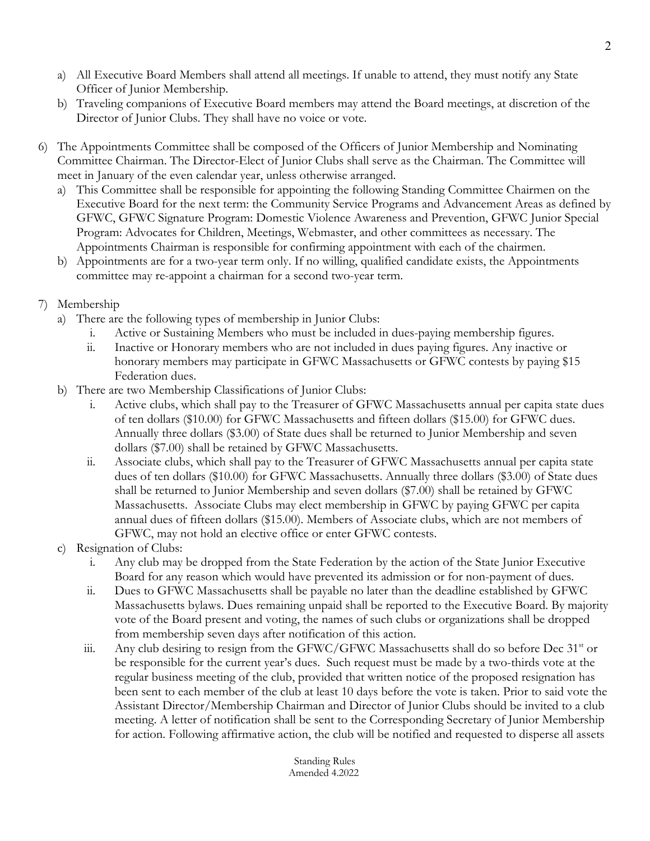- a) All Executive Board Members shall attend all meetings. If unable to attend, they must notify any State Officer of Junior Membership.
- b) Traveling companions of Executive Board members may attend the Board meetings, at discretion of the Director of Junior Clubs. They shall have no voice or vote.
- 6) The Appointments Committee shall be composed of the Officers of Junior Membership and Nominating Committee Chairman. The Director-Elect of Junior Clubs shall serve as the Chairman. The Committee will meet in January of the even calendar year, unless otherwise arranged.
	- a) This Committee shall be responsible for appointing the following Standing Committee Chairmen on the Executive Board for the next term: the Community Service Programs and Advancement Areas as defined by GFWC, GFWC Signature Program: Domestic Violence Awareness and Prevention, GFWC Junior Special Program: Advocates for Children, Meetings, Webmaster, and other committees as necessary. The Appointments Chairman is responsible for confirming appointment with each of the chairmen.
	- b) Appointments are for a two-year term only. If no willing, qualified candidate exists, the Appointments committee may re-appoint a chairman for a second two-year term.
- 7) Membership
	- a) There are the following types of membership in Junior Clubs:
		- i. Active or Sustaining Members who must be included in dues-paying membership figures.
		- ii. Inactive or Honorary members who are not included in dues paying figures. Any inactive or honorary members may participate in GFWC Massachusetts or GFWC contests by paying \$15 Federation dues.
	- b) There are two Membership Classifications of Junior Clubs:
		- i. Active clubs, which shall pay to the Treasurer of GFWC Massachusetts annual per capita state dues of ten dollars (\$10.00) for GFWC Massachusetts and fifteen dollars (\$15.00) for GFWC dues. Annually three dollars (\$3.00) of State dues shall be returned to Junior Membership and seven dollars (\$7.00) shall be retained by GFWC Massachusetts.
		- ii. Associate clubs, which shall pay to the Treasurer of GFWC Massachusetts annual per capita state dues of ten dollars (\$10.00) for GFWC Massachusetts. Annually three dollars (\$3.00) of State dues shall be returned to Junior Membership and seven dollars (\$7.00) shall be retained by GFWC Massachusetts. Associate Clubs may elect membership in GFWC by paying GFWC per capita annual dues of fifteen dollars (\$15.00). Members of Associate clubs, which are not members of GFWC, may not hold an elective office or enter GFWC contests.
	- c) Resignation of Clubs:
		- i. Any club may be dropped from the State Federation by the action of the State Junior Executive Board for any reason which would have prevented its admission or for non-payment of dues.
		- ii. Dues to GFWC Massachusetts shall be payable no later than the deadline established by GFWC Massachusetts bylaws. Dues remaining unpaid shall be reported to the Executive Board. By majority vote of the Board present and voting, the names of such clubs or organizations shall be dropped from membership seven days after notification of this action.
		- iii. Any club desiring to resign from the GFWC/GFWC Massachusetts shall do so before Dec  $31<sup>st</sup>$  or be responsible for the current year's dues. Such request must be made by a two-thirds vote at the regular business meeting of the club, provided that written notice of the proposed resignation has been sent to each member of the club at least 10 days before the vote is taken. Prior to said vote the Assistant Director/Membership Chairman and Director of Junior Clubs should be invited to a club meeting. A letter of notification shall be sent to the Corresponding Secretary of Junior Membership for action. Following affirmative action, the club will be notified and requested to disperse all assets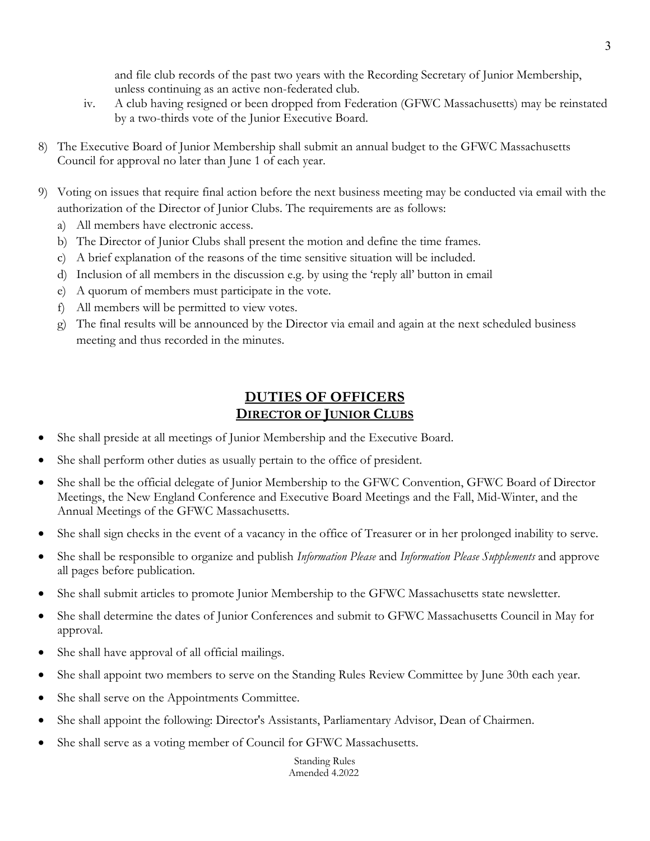and file club records of the past two years with the Recording Secretary of Junior Membership, unless continuing as an active non-federated club.

- iv. A club having resigned or been dropped from Federation (GFWC Massachusetts) may be reinstated by a two-thirds vote of the Junior Executive Board.
- 8) The Executive Board of Junior Membership shall submit an annual budget to the GFWC Massachusetts Council for approval no later than June 1 of each year.
- 9) Voting on issues that require final action before the next business meeting may be conducted via email with the authorization of the Director of Junior Clubs. The requirements are as follows:
	- a) All members have electronic access.
	- b) The Director of Junior Clubs shall present the motion and define the time frames.
	- c) A brief explanation of the reasons of the time sensitive situation will be included.
	- d) Inclusion of all members in the discussion e.g. by using the 'reply all' button in email
	- e) A quorum of members must participate in the vote.
	- f) All members will be permitted to view votes.
	- g) The final results will be announced by the Director via email and again at the next scheduled business meeting and thus recorded in the minutes.

## **DUTIES OF OFFICERS DIRECTOR OF JUNIOR CLUBS**

- She shall preside at all meetings of Junior Membership and the Executive Board.
- She shall perform other duties as usually pertain to the office of president.
- She shall be the official delegate of Junior Membership to the GFWC Convention, GFWC Board of Director Meetings, the New England Conference and Executive Board Meetings and the Fall, Mid-Winter, and the Annual Meetings of the GFWC Massachusetts.
- She shall sign checks in the event of a vacancy in the office of Treasurer or in her prolonged inability to serve.
- She shall be responsible to organize and publish *Information Please* and *Information Please Supplements* and approve all pages before publication.
- She shall submit articles to promote Junior Membership to the GFWC Massachusetts state newsletter.
- She shall determine the dates of Junior Conferences and submit to GFWC Massachusetts Council in May for approval.
- She shall have approval of all official mailings.
- She shall appoint two members to serve on the Standing Rules Review Committee by June 30th each year.
- She shall serve on the Appointments Committee.
- She shall appoint the following: Director's Assistants, Parliamentary Advisor, Dean of Chairmen.
- She shall serve as a voting member of Council for GFWC Massachusetts.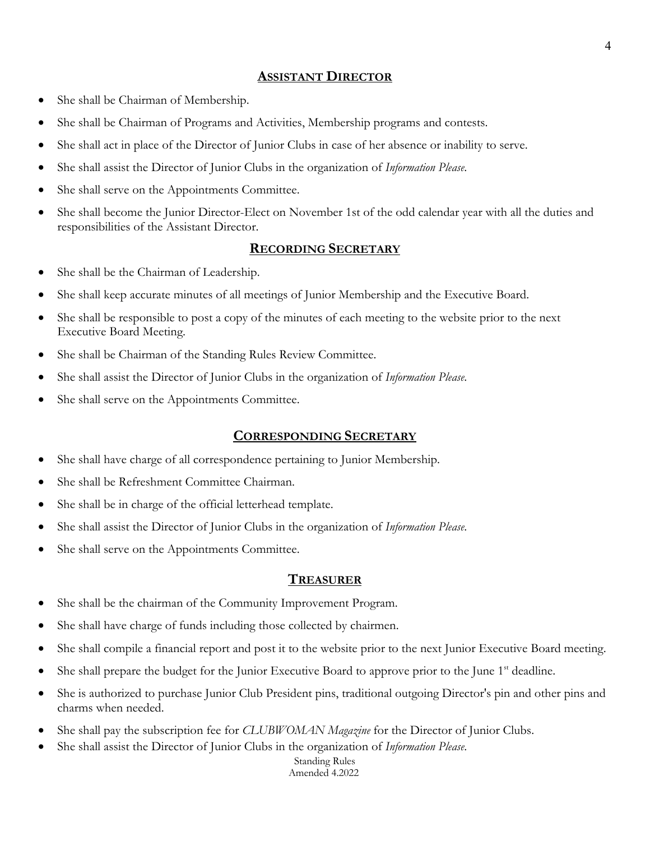#### **ASSISTANT DIRECTOR**

- She shall be Chairman of Membership.
- She shall be Chairman of Programs and Activities, Membership programs and contests.
- She shall act in place of the Director of Junior Clubs in case of her absence or inability to serve.
- She shall assist the Director of Junior Clubs in the organization of *Information Please*.
- She shall serve on the Appointments Committee.
- She shall become the Junior Director-Elect on November 1st of the odd calendar year with all the duties and responsibilities of the Assistant Director.

#### **RECORDING SECRETARY**

- She shall be the Chairman of Leadership.
- She shall keep accurate minutes of all meetings of Junior Membership and the Executive Board.
- She shall be responsible to post a copy of the minutes of each meeting to the website prior to the next Executive Board Meeting.
- She shall be Chairman of the Standing Rules Review Committee.
- She shall assist the Director of Junior Clubs in the organization of *Information Please*.
- She shall serve on the Appointments Committee.

#### **CORRESPONDING SECRETARY**

- She shall have charge of all correspondence pertaining to Junior Membership.
- She shall be Refreshment Committee Chairman.
- She shall be in charge of the official letterhead template.
- She shall assist the Director of Junior Clubs in the organization of *Information Please*.
- She shall serve on the Appointments Committee.

#### **TREASURER**

- She shall be the chairman of the Community Improvement Program.
- She shall have charge of funds including those collected by chairmen.
- She shall compile a financial report and post it to the website prior to the next Junior Executive Board meeting.
- She shall prepare the budget for the Junior Executive Board to approve prior to the June 1<sup>st</sup> deadline.
- She is authorized to purchase Junior Club President pins, traditional outgoing Director's pin and other pins and charms when needed.
- She shall pay the subscription fee for *CLUBWOMAN Magazine* for the Director of Junior Clubs.
- She shall assist the Director of Junior Clubs in the organization of *Information Please*.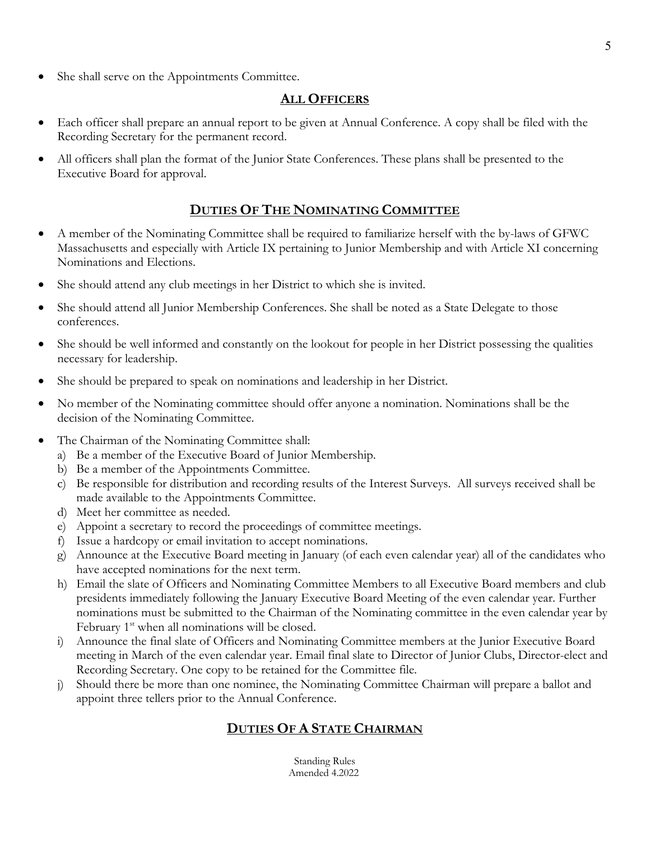She shall serve on the Appointments Committee.

#### **ALL OFFICERS**

- Each officer shall prepare an annual report to be given at Annual Conference. A copy shall be filed with the Recording Secretary for the permanent record.
- All officers shall plan the format of the Junior State Conferences. These plans shall be presented to the Executive Board for approval.

## **DUTIES OF THE NOMINATING COMMITTEE**

- A member of the Nominating Committee shall be required to familiarize herself with the by-laws of GFWC Massachusetts and especially with Article IX pertaining to Junior Membership and with Article XI concerning Nominations and Elections.
- She should attend any club meetings in her District to which she is invited.
- She should attend all Junior Membership Conferences. She shall be noted as a State Delegate to those conferences.
- She should be well informed and constantly on the lookout for people in her District possessing the qualities necessary for leadership.
- She should be prepared to speak on nominations and leadership in her District.
- No member of the Nominating committee should offer anyone a nomination. Nominations shall be the decision of the Nominating Committee.
- The Chairman of the Nominating Committee shall:
	- a) Be a member of the Executive Board of Junior Membership.
	- b) Be a member of the Appointments Committee.
	- c) Be responsible for distribution and recording results of the Interest Surveys. All surveys received shall be made available to the Appointments Committee.
	- d) Meet her committee as needed.
	- e) Appoint a secretary to record the proceedings of committee meetings.
	- f) Issue a hardcopy or email invitation to accept nominations.
	- g) Announce at the Executive Board meeting in January (of each even calendar year) all of the candidates who have accepted nominations for the next term.
	- h) Email the slate of Officers and Nominating Committee Members to all Executive Board members and club presidents immediately following the January Executive Board Meeting of the even calendar year. Further nominations must be submitted to the Chairman of the Nominating committee in the even calendar year by February  $1<sup>st</sup>$  when all nominations will be closed.
	- i) Announce the final slate of Officers and Nominating Committee members at the Junior Executive Board meeting in March of the even calendar year. Email final slate to Director of Junior Clubs, Director-elect and Recording Secretary. One copy to be retained for the Committee file.
	- j) Should there be more than one nominee, the Nominating Committee Chairman will prepare a ballot and appoint three tellers prior to the Annual Conference.

# **DUTIES OF A STATE CHAIRMAN**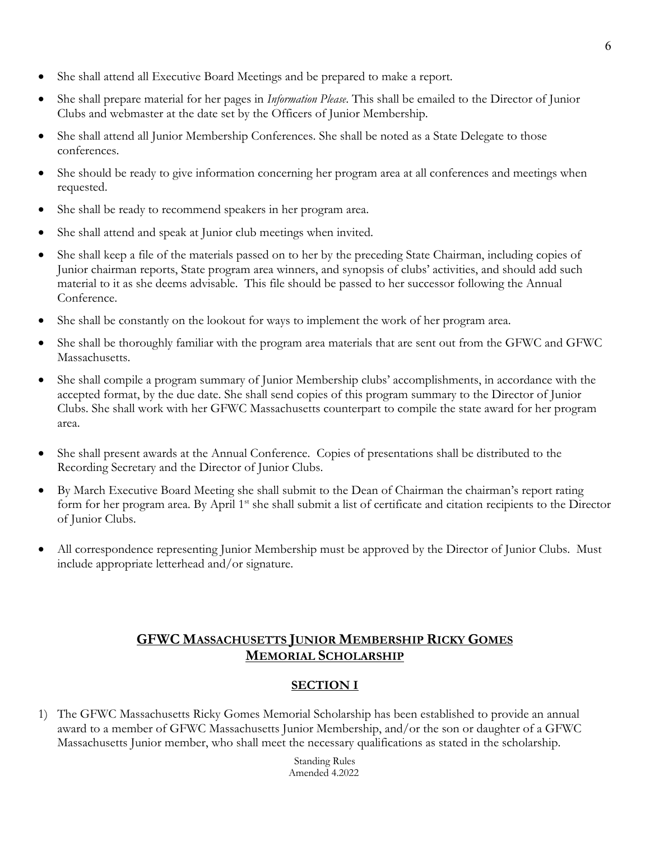- She shall attend all Executive Board Meetings and be prepared to make a report.
- She shall prepare material for her pages in *Information Please*. This shall be emailed to the Director of Junior Clubs and webmaster at the date set by the Officers of Junior Membership.
- She shall attend all Junior Membership Conferences. She shall be noted as a State Delegate to those conferences.
- She should be ready to give information concerning her program area at all conferences and meetings when requested.
- She shall be ready to recommend speakers in her program area.
- She shall attend and speak at Junior club meetings when invited.
- She shall keep a file of the materials passed on to her by the preceding State Chairman, including copies of Junior chairman reports, State program area winners, and synopsis of clubs' activities, and should add such material to it as she deems advisable. This file should be passed to her successor following the Annual Conference.
- She shall be constantly on the lookout for ways to implement the work of her program area.
- She shall be thoroughly familiar with the program area materials that are sent out from the GFWC and GFWC Massachusetts.
- She shall compile a program summary of Junior Membership clubs' accomplishments, in accordance with the accepted format, by the due date. She shall send copies of this program summary to the Director of Junior Clubs. She shall work with her GFWC Massachusetts counterpart to compile the state award for her program area.
- She shall present awards at the Annual Conference. Copies of presentations shall be distributed to the Recording Secretary and the Director of Junior Clubs.
- By March Executive Board Meeting she shall submit to the Dean of Chairman the chairman's report rating form for her program area. By April 1<sup>st</sup> she shall submit a list of certificate and citation recipients to the Director of Junior Clubs.
- All correspondence representing Junior Membership must be approved by the Director of Junior Clubs. Must include appropriate letterhead and/or signature.

# **GFWC MASSACHUSETTS JUNIOR MEMBERSHIP RICKY GOMES MEMORIAL SCHOLARSHIP**

## **SECTION I**

1) The GFWC Massachusetts Ricky Gomes Memorial Scholarship has been established to provide an annual award to a member of GFWC Massachusetts Junior Membership, and/or the son or daughter of a GFWC Massachusetts Junior member, who shall meet the necessary qualifications as stated in the scholarship.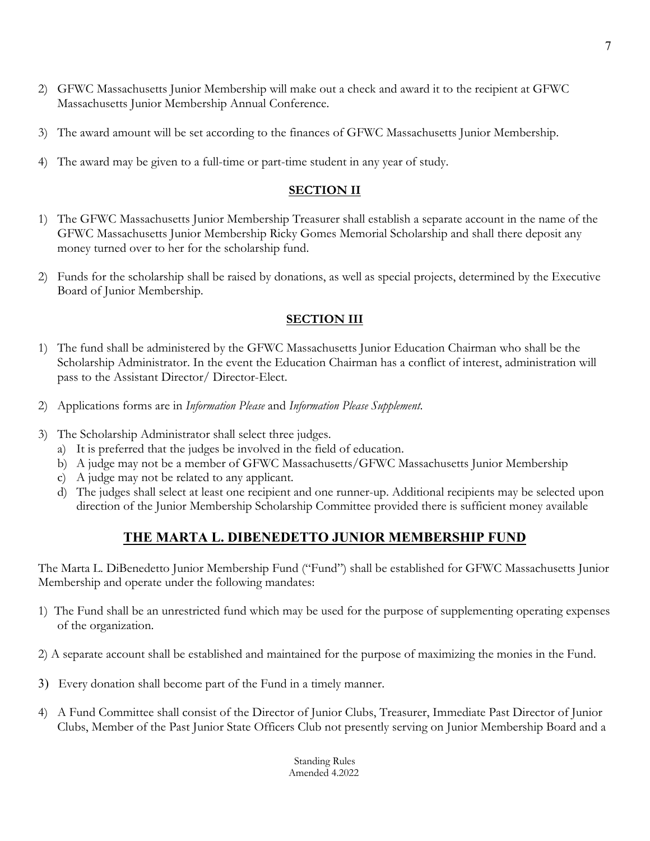- 2) GFWC Massachusetts Junior Membership will make out a check and award it to the recipient at GFWC Massachusetts Junior Membership Annual Conference.
- 3) The award amount will be set according to the finances of GFWC Massachusetts Junior Membership.
- 4) The award may be given to a full-time or part-time student in any year of study.

#### **SECTION II**

- 1) The GFWC Massachusetts Junior Membership Treasurer shall establish a separate account in the name of the GFWC Massachusetts Junior Membership Ricky Gomes Memorial Scholarship and shall there deposit any money turned over to her for the scholarship fund.
- 2) Funds for the scholarship shall be raised by donations, as well as special projects, determined by the Executive Board of Junior Membership.

#### **SECTION III**

- 1) The fund shall be administered by the GFWC Massachusetts Junior Education Chairman who shall be the Scholarship Administrator. In the event the Education Chairman has a conflict of interest, administration will pass to the Assistant Director/ Director-Elect.
- 2) Applications forms are in *Information Please* and *Information Please Supplement*.
- 3) The Scholarship Administrator shall select three judges.
	- a) It is preferred that the judges be involved in the field of education.
	- b) A judge may not be a member of GFWC Massachusetts/GFWC Massachusetts Junior Membership
	- c) A judge may not be related to any applicant.
	- d) The judges shall select at least one recipient and one runner-up. Additional recipients may be selected upon direction of the Junior Membership Scholarship Committee provided there is sufficient money available

## **THE MARTA L. DIBENEDETTO JUNIOR MEMBERSHIP FUND**

The Marta L. DiBenedetto Junior Membership Fund ("Fund") shall be established for GFWC Massachusetts Junior Membership and operate under the following mandates:

- 1) The Fund shall be an unrestricted fund which may be used for the purpose of supplementing operating expenses of the organization.
- 2) A separate account shall be established and maintained for the purpose of maximizing the monies in the Fund.
- 3) Every donation shall become part of the Fund in a timely manner.
- 4) A Fund Committee shall consist of the Director of Junior Clubs, Treasurer, Immediate Past Director of Junior Clubs, Member of the Past Junior State Officers Club not presently serving on Junior Membership Board and a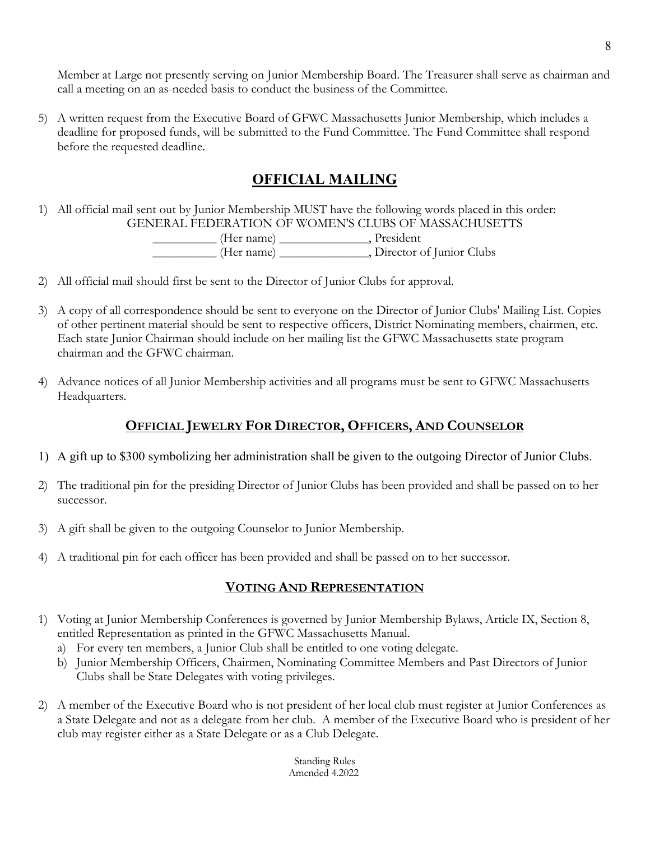Member at Large not presently serving on Junior Membership Board. The Treasurer shall serve as chairman and call a meeting on an as-needed basis to conduct the business of the Committee.

5) A written request from the Executive Board of GFWC Massachusetts Junior Membership, which includes a deadline for proposed funds, will be submitted to the Fund Committee. The Fund Committee shall respond before the requested deadline.

# **OFFICIAL MAILING**

1) All official mail sent out by Junior Membership MUST have the following words placed in this order: GENERAL FEDERATION OF WOMEN'S CLUBS OF MASSACHUSETTS

> \_\_\_\_\_\_\_\_\_\_ (Her name) \_\_\_\_\_\_\_\_\_\_\_\_\_\_, President \_\_\_\_\_\_\_\_\_\_ (Her name) \_\_\_\_\_\_\_\_\_\_\_\_\_\_, Director of Junior Clubs

- 2) All official mail should first be sent to the Director of Junior Clubs for approval.
- 3) A copy of all correspondence should be sent to everyone on the Director of Junior Clubs' Mailing List. Copies of other pertinent material should be sent to respective officers, District Nominating members, chairmen, etc. Each state Junior Chairman should include on her mailing list the GFWC Massachusetts state program chairman and the GFWC chairman.
- 4) Advance notices of all Junior Membership activities and all programs must be sent to GFWC Massachusetts Headquarters.

## **OFFICIAL JEWELRY FOR DIRECTOR, OFFICERS, AND COUNSELOR**

- 1) A gift up to \$300 symbolizing her administration shall be given to the outgoing Director of Junior Clubs.
- 2) The traditional pin for the presiding Director of Junior Clubs has been provided and shall be passed on to her successor.
- 3) A gift shall be given to the outgoing Counselor to Junior Membership.
- 4) A traditional pin for each officer has been provided and shall be passed on to her successor.

# **VOTING AND REPRESENTATION**

- 1) Voting at Junior Membership Conferences is governed by Junior Membership Bylaws, Article IX, Section 8, entitled Representation as printed in the GFWC Massachusetts Manual.
	- a) For every ten members, a Junior Club shall be entitled to one voting delegate.
	- b) Junior Membership Officers, Chairmen, Nominating Committee Members and Past Directors of Junior Clubs shall be State Delegates with voting privileges.
- 2) A member of the Executive Board who is not president of her local club must register at Junior Conferences as a State Delegate and not as a delegate from her club. A member of the Executive Board who is president of her club may register either as a State Delegate or as a Club Delegate.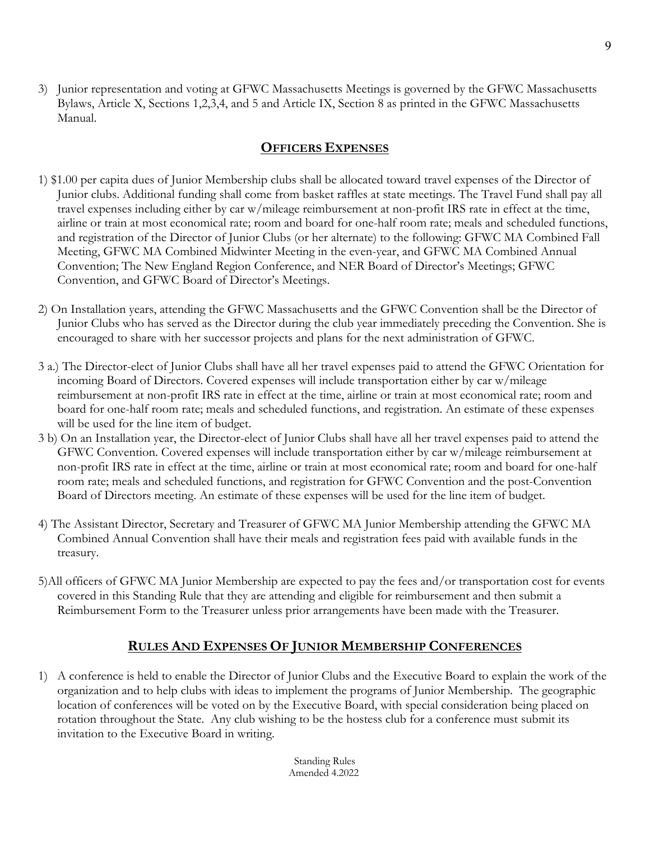3) Junior representation and voting at GFWC Massachusetts Meetings is governed by the GFWC Massachusetts Bylaws, Article X, Sections 1,2,3,4, and 5 and Article IX, Section 8 as printed in the GFWC Massachusetts Manual.

## **OFFICERS EXPENSES**

- 1) \$1.00 per capita dues of Junior Membership clubs shall be allocated toward travel expenses of the Director of Junior clubs. Additional funding shall come from basket raffles at state meetings. The Travel Fund shall pay all travel expenses including either by car w/mileage reimbursement at non-profit IRS rate in effect at the time, airline or train at most economical rate; room and board for one-half room rate; meals and scheduled functions, and registration of the Director of Junior Clubs (or her alternate) to the following: GFWC MA Combined Fall Meeting, GFWC MA Combined Midwinter Meeting in the even-year, and GFWC MA Combined Annual Convention; The New England Region Conference, and NER Board of Director's Meetings; GFWC Convention, and GFWC Board of Director's Meetings.
- 2) On Installation years, attending the GFWC Massachusetts and the GFWC Convention shall be the Director of Junior Clubs who has served as the Director during the club year immediately preceding the Convention. She is encouraged to share with her successor projects and plans for the next administration of GFWC.
- 3 a.) The Director-elect of Junior Clubs shall have all her travel expenses paid to attend the GFWC Orientation for incoming Board of Directors. Covered expenses will include transportation either by car w/mileage reimbursement at non-profit IRS rate in effect at the time, airline or train at most economical rate; room and board for one-half room rate; meals and scheduled functions, and registration. An estimate of these expenses will be used for the line item of budget.
- 3 b) On an Installation year, the Director-elect of Junior Clubs shall have all her travel expenses paid to attend the GFWC Convention. Covered expenses will include transportation either by car w/mileage reimbursement at non-profit IRS rate in effect at the time, airline or train at most economical rate; room and board for one-half room rate; meals and scheduled functions, and registration for GFWC Convention and the post-Convention Board of Directors meeting. An estimate of these expenses will be used for the line item of budget.
- 4) The Assistant Director, Secretary and Treasurer of GFWC MA Junior Membership attending the GFWC MA Combined Annual Convention shall have their meals and registration fees paid with available funds in the treasury.
- 5)All officers of GFWC MA Junior Membership are expected to pay the fees and/or transportation cost for events covered in this Standing Rule that they are attending and eligible for reimbursement and then submit a Reimbursement Form to the Treasurer unless prior arrangements have been made with the Treasurer.

## **RULES AND EXPENSES OF JUNIOR MEMBERSHIP CONFERENCES**

1) A conference is held to enable the Director of Junior Clubs and the Executive Board to explain the work of the organization and to help clubs with ideas to implement the programs of Junior Membership. The geographic location of conferences will be voted on by the Executive Board, with special consideration being placed on rotation throughout the State. Any club wishing to be the hostess club for a conference must submit its invitation to the Executive Board in writing.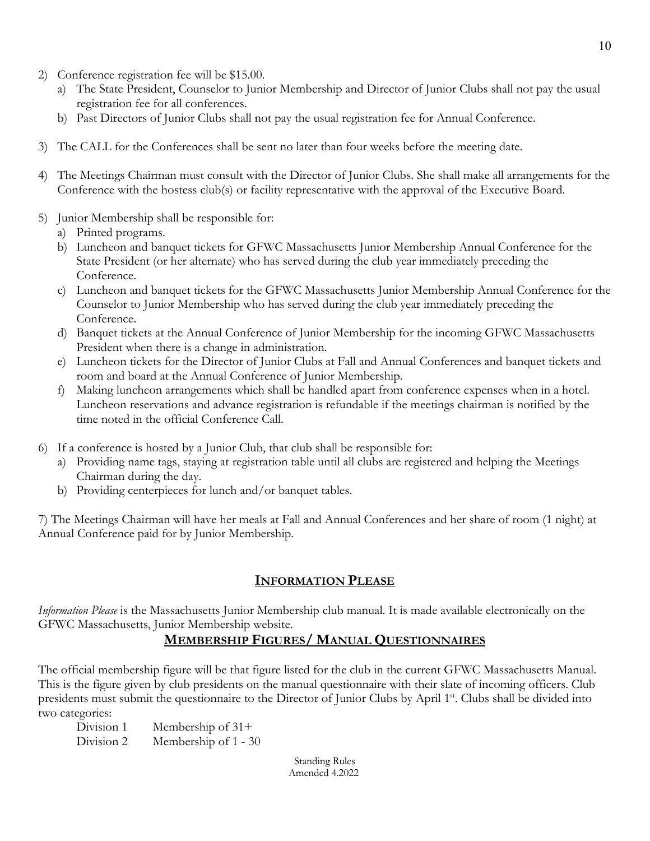- 2) Conference registration fee will be \$15.00.
	- a) The State President, Counselor to Junior Membership and Director of Junior Clubs shall not pay the usual registration fee for all conferences.
	- b) Past Directors of Junior Clubs shall not pay the usual registration fee for Annual Conference.
- 3) The CALL for the Conferences shall be sent no later than four weeks before the meeting date.
- 4) The Meetings Chairman must consult with the Director of Junior Clubs. She shall make all arrangements for the Conference with the hostess club(s) or facility representative with the approval of the Executive Board.
- 5) Junior Membership shall be responsible for:
	- a) Printed programs.
	- b) Luncheon and banquet tickets for GFWC Massachusetts Junior Membership Annual Conference for the State President (or her alternate) who has served during the club year immediately preceding the Conference.
	- c) Luncheon and banquet tickets for the GFWC Massachusetts Junior Membership Annual Conference for the Counselor to Junior Membership who has served during the club year immediately preceding the Conference.
	- d) Banquet tickets at the Annual Conference of Junior Membership for the incoming GFWC Massachusetts President when there is a change in administration.
	- e) Luncheon tickets for the Director of Junior Clubs at Fall and Annual Conferences and banquet tickets and room and board at the Annual Conference of Junior Membership.
	- f) Making luncheon arrangements which shall be handled apart from conference expenses when in a hotel. Luncheon reservations and advance registration is refundable if the meetings chairman is notified by the time noted in the official Conference Call.
- 6) If a conference is hosted by a Junior Club, that club shall be responsible for:
	- a) Providing name tags, staying at registration table until all clubs are registered and helping the Meetings Chairman during the day.
	- b) Providing centerpieces for lunch and/or banquet tables.

7) The Meetings Chairman will have her meals at Fall and Annual Conferences and her share of room (1 night) at Annual Conference paid for by Junior Membership.

#### **INFORMATION PLEASE**

*Information Please* is the Massachusetts Junior Membership club manual. It is made available electronically on the GFWC Massachusetts, Junior Membership website.

## **MEMBERSHIP FIGURES/ MANUAL QUESTIONNAIRES**

The official membership figure will be that figure listed for the club in the current GFWC Massachusetts Manual. This is the figure given by club presidents on the manual questionnaire with their slate of incoming officers. Club presidents must submit the questionnaire to the Director of Junior Clubs by April 1st. Clubs shall be divided into two categories:

Division 1 Membership of 31+ Division 2 Membership of 1 - 30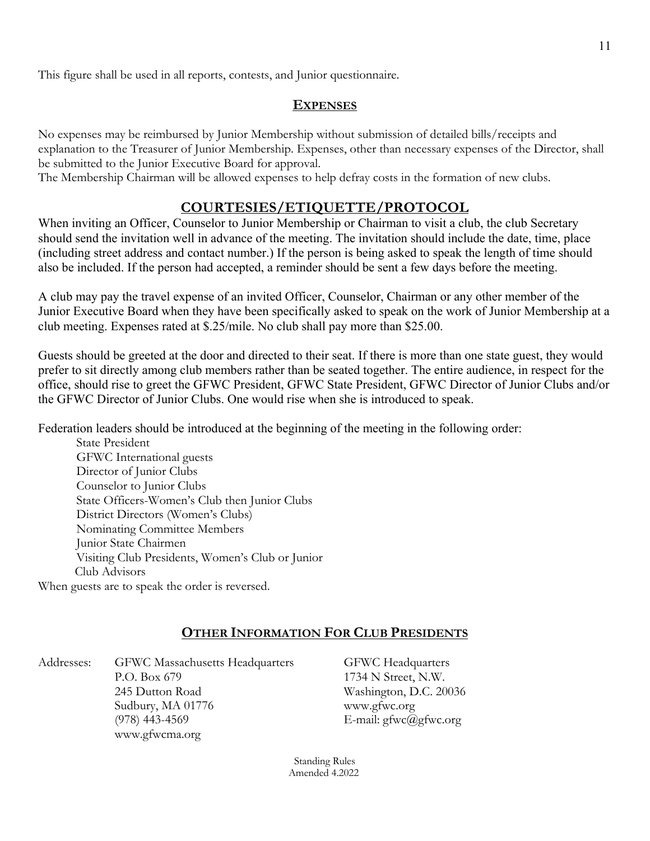This figure shall be used in all reports, contests, and Junior questionnaire.

#### **EXPENSES**

No expenses may be reimbursed by Junior Membership without submission of detailed bills/receipts and explanation to the Treasurer of Junior Membership. Expenses, other than necessary expenses of the Director, shall be submitted to the Junior Executive Board for approval.

The Membership Chairman will be allowed expenses to help defray costs in the formation of new clubs.

## **COURTESIES/ETIQUETTE/PROTOCOL**

When inviting an Officer, Counselor to Junior Membership or Chairman to visit a club, the club Secretary should send the invitation well in advance of the meeting. The invitation should include the date, time, place (including street address and contact number.) If the person is being asked to speak the length of time should also be included. If the person had accepted, a reminder should be sent a few days before the meeting.

A club may pay the travel expense of an invited Officer, Counselor, Chairman or any other member of the Junior Executive Board when they have been specifically asked to speak on the work of Junior Membership at a club meeting. Expenses rated at \$.25/mile. No club shall pay more than \$25.00.

Guests should be greeted at the door and directed to their seat. If there is more than one state guest, they would prefer to sit directly among club members rather than be seated together. The entire audience, in respect for the office, should rise to greet the GFWC President, GFWC State President, GFWC Director of Junior Clubs and/or the GFWC Director of Junior Clubs. One would rise when she is introduced to speak.

Federation leaders should be introduced at the beginning of the meeting in the following order:

State President GFWC International guests Director of Junior Clubs Counselor to Junior Clubs State Officers-Women's Club then Junior Clubs District Directors (Women's Clubs) Nominating Committee Members Junior State Chairmen Visiting Club Presidents, Women's Club or Junior Club Advisors

When guests are to speak the order is reversed.

## **OTHER INFORMATION FOR CLUB PRESIDENTS**

Addresses: GFWC Massachusetts Headquarters GFWC Headquarters P.O. Box 679 1734 N Street, N.W. 245 Dutton Road Washington, D.C. 20036 Sudbury, MA 01776 www.gfwc.org (978) 443-4569 E-mail:  $gfwc@gfwc.org$ www.gfwcma.org